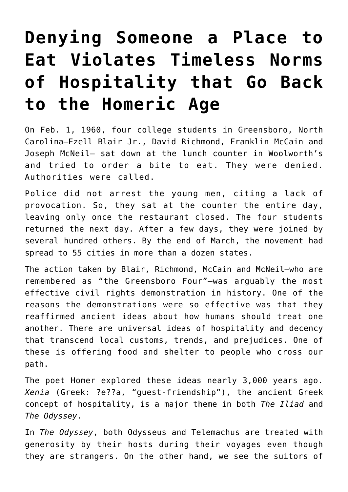## **[Denying Someone a Place to](https://intellectualtakeout.org/2018/06/denying-someone-a-place-to-eat-violates-timeless-norms-of-hospitality-that-go-back-to-the-homeric-age/) [Eat Violates Timeless Norms](https://intellectualtakeout.org/2018/06/denying-someone-a-place-to-eat-violates-timeless-norms-of-hospitality-that-go-back-to-the-homeric-age/) [of Hospitality that Go Back](https://intellectualtakeout.org/2018/06/denying-someone-a-place-to-eat-violates-timeless-norms-of-hospitality-that-go-back-to-the-homeric-age/) [to the Homeric Age](https://intellectualtakeout.org/2018/06/denying-someone-a-place-to-eat-violates-timeless-norms-of-hospitality-that-go-back-to-the-homeric-age/)**

On Feb. 1, 1960, four college students in Greensboro, North Carolina—Ezell Blair Jr., David Richmond, Franklin McCain and Joseph McNeil— sat down at the lunch counter in Woolworth's and tried to order a bite to eat. They were denied. Authorities were called.

Police did not arrest the young men, citing a lack of provocation. So, they sat at the counter the entire day, leaving only once the restaurant closed. The four students returned the next day. After a few days, they were joined by several hundred others. By the end of March, the movement had spread to 55 cities in more than a dozen states.

The action taken by Blair, Richmond, McCain and McNeil—who are remembered as "the Greensboro Four"—was arguably the most effective civil rights demonstration in history. One of the reasons the demonstrations were so effective was that they reaffirmed ancient ideas about how humans should treat one another. There are universal ideas of hospitality and decency that transcend local customs, trends, and prejudices. One of these is offering food and shelter to people who cross our path.

The poet Homer explored these ideas nearly 3,000 years ago. *Xenia* (Greek: ?e??a, "guest-friendship"), the ancient Greek concept of hospitality, is a major theme in both *The Iliad* and *The Odyssey*.

In *The Odyssey*, both Odysseus and Telemachus are treated with generosity by their hosts during their voyages even though they are strangers. On the other hand, we see the suitors of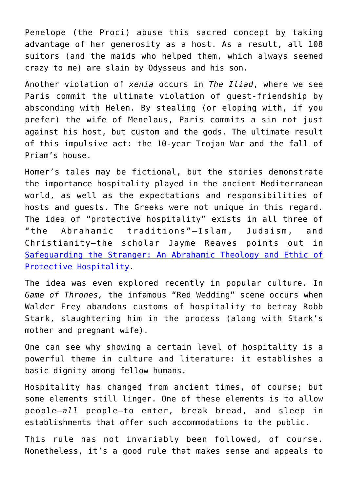Penelope (the Proci) abuse this sacred concept by taking advantage of her generosity as a host. As a result, all 108 suitors (and the maids who helped them, which always seemed crazy to me) are slain by Odysseus and his son.

Another violation of *xenia* occurs in *The Iliad*, where we see Paris commit the ultimate violation of guest-friendship by absconding with Helen. By stealing (or eloping with, if you prefer) the wife of Menelaus, Paris commits a sin not just against his host, but custom and the gods. The ultimate result of this impulsive act: the 10-year Trojan War and the fall of Priam's house.

Homer's tales may be fictional, but the stories demonstrate the importance hospitality played in the ancient Mediterranean world, as well as the expectations and responsibilities of hosts and guests. The Greeks were not unique in this regard. The idea of "protective hospitality" exists in all three of "the Abrahamic traditions"—Islam, Judaism, and Christianity—the scholar Jayme Reaves points out in [Safeguarding the Stranger: An Abrahamic Theology and Ethic of](https://amzn.to/2K8STVN) [Protective Hospitality](https://amzn.to/2K8STVN).

The idea was even explored recently in popular culture. In *Game of Thrones,* the infamous "Red Wedding" scene occurs when Walder Frey abandons customs of hospitality to betray Robb Stark, slaughtering him in the process (along with Stark's mother and pregnant wife).

One can see why showing a certain level of hospitality is a powerful theme in culture and literature: it establishes a basic dignity among fellow humans.

Hospitality has changed from ancient times, of course; but some elements still linger. One of these elements is to allow people—*all* people—to enter, break bread, and sleep in establishments that offer such accommodations to the public.

This rule has not invariably been followed, of course. Nonetheless, it's a good rule that makes sense and appeals to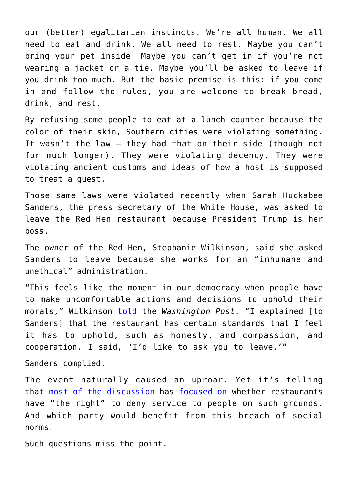our (better) egalitarian instincts. We're all human. We all need to eat and drink. We all need to rest. Maybe you can't bring your pet inside. Maybe you can't get in if you're not wearing a jacket or a tie. Maybe you'll be asked to leave if you drink too much. But the basic premise is this: if you come in and follow the rules, you are welcome to break bread, drink, and rest.

By refusing some people to eat at a lunch counter because the color of their skin, Southern cities were violating something. It wasn't the law – they had that on their side (though not for much longer). They were violating decency. They were violating ancient customs and ideas of how a host is supposed to treat a guest.

Those same laws were violated recently when Sarah Huckabee Sanders, the press secretary of the White House, was asked to leave the Red Hen restaurant because President Trump is her boss.

The owner of the Red Hen, Stephanie Wilkinson, said she asked Sanders to leave because she works for an "inhumane and unethical" administration.

"This feels like the moment in our democracy when people have to make uncomfortable actions and decisions to uphold their morals," Wilkinson [told](https://www.washingtonpost.com/news/local/wp/2018/06/23/why-a-small-town-restaurant-owner-asked-sarah-huckabee-sanders-to-leave-and-would-do-it-again/?noredirect=on&utm_term=.ba2d4cbbb7a8) the *Washington Post*. "I explained [to Sanders] that the restaurant has certain standards that I feel it has to uphold, such as honesty, and compassion, and cooperation. I said, 'I'd like to ask you to leave.'"

Sanders complied.

The event naturally caused an uproar. Yet it's telling that [most of the discussion](http://reason.com/blog/2018/06/25/red-hen-sarah-huckabee-sanders-dinner) has [focused on](https://www.google.com/url?sa=t&rct=j&q=&esrc=s&source=web&cd=1&cad=rja&uact=8&ved=0ahUKEwjb0Z6mvPHbAhXkE5oKHRwoBcUQqUMILDAA&url=https%3A%2F%2Fwww.washingtonpost.com%2Fnews%2Ffood%2Fwp%2F2018%2F06%2F25%2Fwas-sarah-huckabee-sanders-denied-public-accommodation-when-a-restaurant-kicked-her-out%2F&usg=AOvVaw35MmmPOiuGpnHbcwdFVQ7A) whether restaurants have "the right" to deny service to people on such grounds. And which party would benefit from this breach of social norms.

Such questions miss the point.